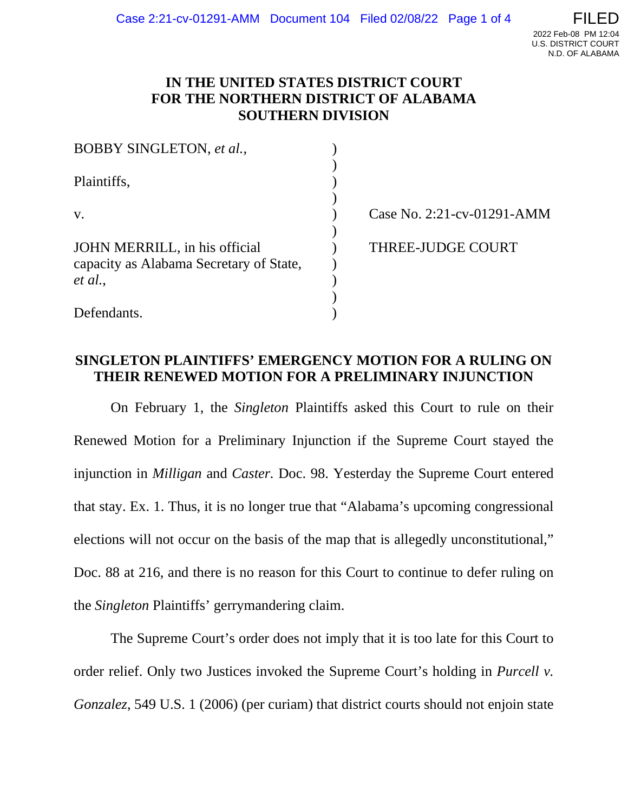## **IN THE UNITED STATES DISTRICT COURT FOR THE NORTHERN DISTRICT OF ALABAMA SOUTHERN DIVISION**

| BOBBY SINGLETON, et al.,                                                 |                            |
|--------------------------------------------------------------------------|----------------------------|
| Plaintiffs,                                                              |                            |
| $V_{\star}$                                                              | Case No. 2:21-cv-01291-AMM |
| JOHN MERRILL, in his official<br>capacity as Alabama Secretary of State, | <b>THREE-JUDGE COURT</b>   |
| et al.,                                                                  |                            |
|                                                                          |                            |
| Defendants.                                                              |                            |

# **SINGLETON PLAINTIFFS' EMERGENCY MOTION FOR A RULING ON THEIR RENEWED MOTION FOR A PRELIMINARY INJUNCTION**

On February 1, the *Singleton* Plaintiffs asked this Court to rule on their Renewed Motion for a Preliminary Injunction if the Supreme Court stayed the injunction in *Milligan* and *Caster.* Doc. 98. Yesterday the Supreme Court entered that stay. Ex. 1. Thus, it is no longer true that "Alabama's upcoming congressional elections will not occur on the basis of the map that is allegedly unconstitutional," Doc. 88 at 216, and there is no reason for this Court to continue to defer ruling on the *Singleton* Plaintiffs' gerrymandering claim.

The Supreme Court's order does not imply that it is too late for this Court to order relief. Only two Justices invoked the Supreme Court's holding in *Purcell v. Gonzalez*, 549 U.S. 1 (2006) (per curiam) that district courts should not enjoin state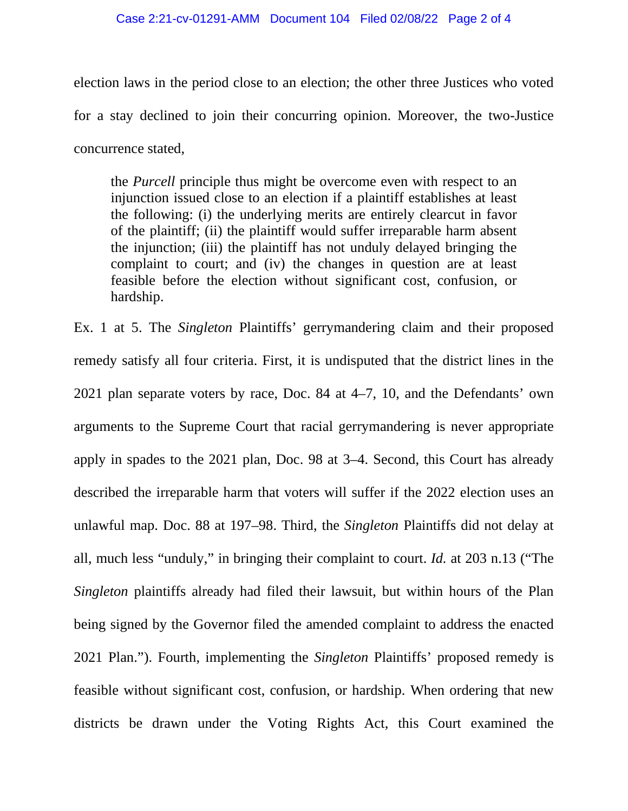### Case 2:21-cv-01291-AMM Document 104 Filed 02/08/22 Page 2 of 4

election laws in the period close to an election; the other three Justices who voted for a stay declined to join their concurring opinion. Moreover, the two-Justice concurrence stated,

the *Purcell* principle thus might be overcome even with respect to an injunction issued close to an election if a plaintiff establishes at least the following: (i) the underlying merits are entirely clearcut in favor of the plaintiff; (ii) the plaintiff would suffer irreparable harm absent the injunction; (iii) the plaintiff has not unduly delayed bringing the complaint to court; and (iv) the changes in question are at least feasible before the election without significant cost, confusion, or hardship.

Ex. 1 at 5. The *Singleton* Plaintiffs' gerrymandering claim and their proposed remedy satisfy all four criteria. First, it is undisputed that the district lines in the 2021 plan separate voters by race, Doc. 84 at 4–7, 10, and the Defendants' own arguments to the Supreme Court that racial gerrymandering is never appropriate apply in spades to the 2021 plan, Doc. 98 at 3–4. Second, this Court has already described the irreparable harm that voters will suffer if the 2022 election uses an unlawful map. Doc. 88 at 197–98. Third, the *Singleton* Plaintiffs did not delay at all, much less "unduly," in bringing their complaint to court. *Id.* at 203 n.13 ("The *Singleton* plaintiffs already had filed their lawsuit, but within hours of the Plan being signed by the Governor filed the amended complaint to address the enacted 2021 Plan."). Fourth, implementing the *Singleton* Plaintiffs' proposed remedy is feasible without significant cost, confusion, or hardship. When ordering that new districts be drawn under the Voting Rights Act, this Court examined the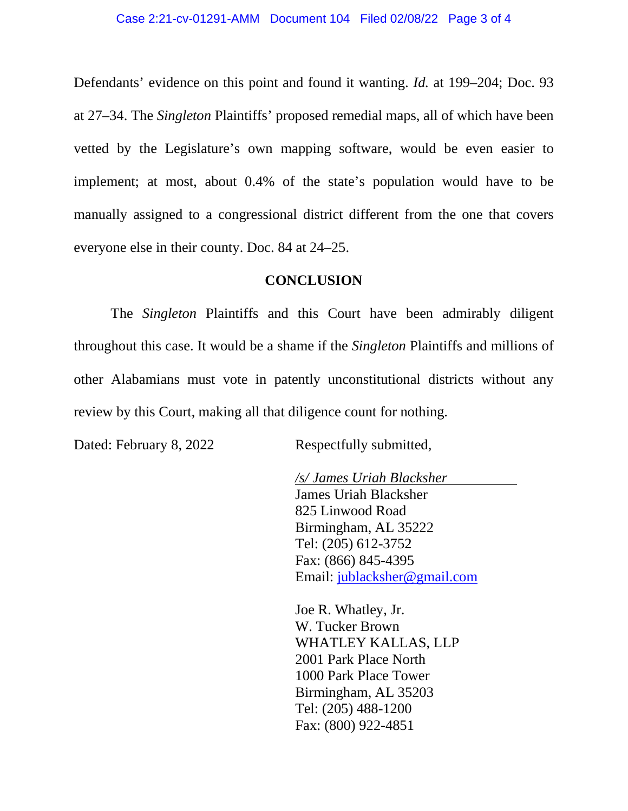#### Case 2:21-cv-01291-AMM Document 104 Filed 02/08/22 Page 3 of 4

Defendants' evidence on this point and found it wanting. *Id.* at 199–204; Doc. 93 at 27–34. The *Singleton* Plaintiffs' proposed remedial maps, all of which have been vetted by the Legislature's own mapping software, would be even easier to implement; at most, about 0.4% of the state's population would have to be manually assigned to a congressional district different from the one that covers everyone else in their county. Doc. 84 at 24–25.

### **CONCLUSION**

The *Singleton* Plaintiffs and this Court have been admirably diligent throughout this case. It would be a shame if the *Singleton* Plaintiffs and millions of other Alabamians must vote in patently unconstitutional districts without any review by this Court, making all that diligence count for nothing.

Dated: February 8, 2022 Respectfully submitted,

*/s/ James Uriah Blacksher* James Uriah Blacksher 825 Linwood Road Birmingham, AL 35222 Tel: (205) 612-3752 Fax: (866) 845-4395 Email: [jublacksher@gmail.com](mailto:jublacksher@gmail.com)

Joe R. Whatley, Jr. W. Tucker Brown WHATLEY KALLAS, LLP 2001 Park Place North 1000 Park Place Tower Birmingham, AL 35203 Tel: (205) 488-1200 Fax: (800) 922-4851